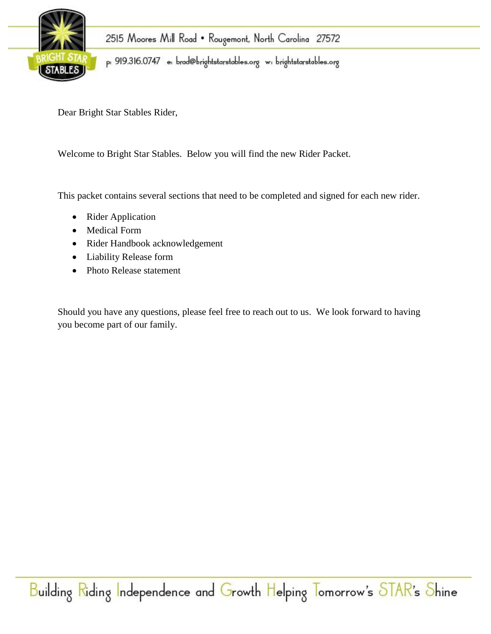

Dear Bright Star Stables Rider,

Welcome to Bright Star Stables. Below you will find the new Rider Packet.

This packet contains several sections that need to be completed and signed for each new rider.

- Rider Application
- Medical Form
- Rider Handbook acknowledgement
- Liability Release form
- Photo Release statement

Should you have any questions, please feel free to reach out to us. We look forward to having you become part of our family.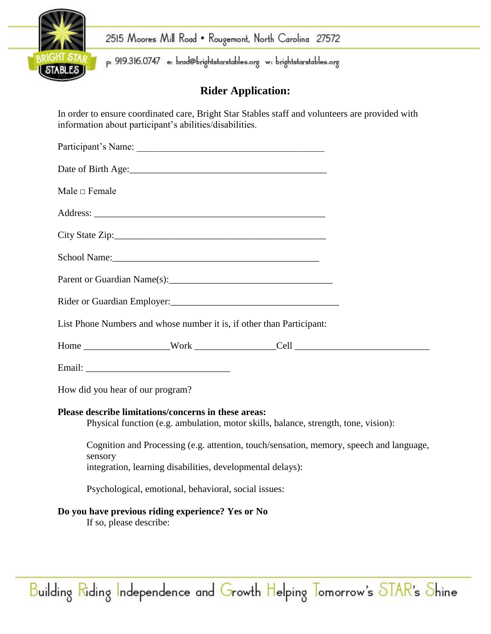

2515 Moores Mill Road . Rougemont, North Carolina 27572

p: 919.316.0747 e: brad@brightstarstables.org w: brightstarstables.org

# **Rider Application:**

In order to ensure coordinated care, Bright Star Stables staff and volunteers are provided with information about participant's abilities/disabilities.

| Date of Birth Age: 2008                                                                                                                                          |
|------------------------------------------------------------------------------------------------------------------------------------------------------------------|
| Male $\Box$ Female                                                                                                                                               |
|                                                                                                                                                                  |
|                                                                                                                                                                  |
|                                                                                                                                                                  |
|                                                                                                                                                                  |
|                                                                                                                                                                  |
| List Phone Numbers and whose number it is, if other than Participant:                                                                                            |
|                                                                                                                                                                  |
|                                                                                                                                                                  |
| How did you hear of our program?                                                                                                                                 |
| Please describe limitations/concerns in these areas:<br>Physical function (e.g. ambulation, motor skills, balance, strength, tone, vision):                      |
| Cognition and Processing (e.g. attention, touch/sensation, memory, speech and language,<br>sensory<br>integration, learning disabilities, developmental delays): |
| Psychological, emotional, behavioral, social issues:                                                                                                             |
| Do you have previous riding experience? Yes or No<br>If so, please describe:                                                                                     |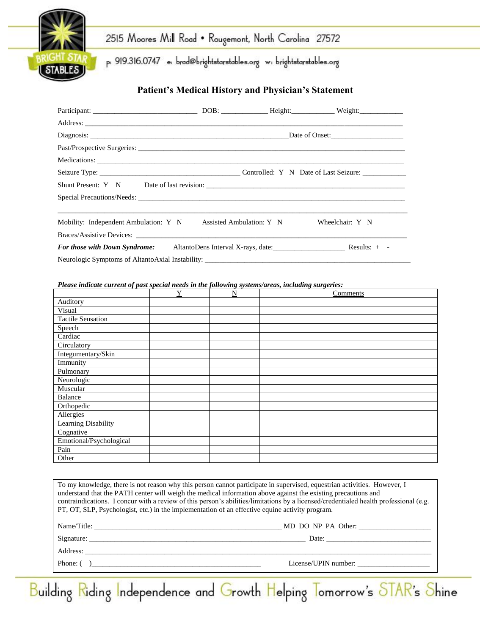

# 2515 Moores Mill Road . Rougemont, North Carolina 27572

p: 919.316.0747 e: brad@brightstarstables.org w: brightstarstables.org

### **Patient's Medical History and Physician's Statement**

| Mobility: Independent Ambulation: Y N Assisted Ambulation: Y N                       |  | Wheelchair: Y N |
|--------------------------------------------------------------------------------------|--|-----------------|
|                                                                                      |  |                 |
| <b>For those with Down Syndrome:</b> AltantoDens Interval X-rays, date: Results: + - |  |                 |
|                                                                                      |  |                 |

*Please indicate current of past special needs in the following systems/areas, including surgeries:*

|                          | Y | N | Comments |
|--------------------------|---|---|----------|
| Auditory                 |   |   |          |
| Visual                   |   |   |          |
| <b>Tactile Sensation</b> |   |   |          |
| Speech                   |   |   |          |
| Cardiac                  |   |   |          |
| Circulatory              |   |   |          |
| Integumentary/Skin       |   |   |          |
| Immunity                 |   |   |          |
| Pulmonary                |   |   |          |
| Neurologic               |   |   |          |
| Muscular                 |   |   |          |
| Balance                  |   |   |          |
| Orthopedic               |   |   |          |
| Allergies                |   |   |          |
| Learning Disability      |   |   |          |
| Cognative                |   |   |          |
| Emotional/Psychological  |   |   |          |
| Pain                     |   |   |          |
| Other                    |   |   |          |

|                                                       | contraindications. I concur with a review of this person's abilities/limitations by a licensed/credentialed health professional (e.g.<br>PT, OT, SLP, Psychologist, etc.) in the implementation of an effective equine activity program. |
|-------------------------------------------------------|------------------------------------------------------------------------------------------------------------------------------------------------------------------------------------------------------------------------------------------|
|                                                       |                                                                                                                                                                                                                                          |
|                                                       |                                                                                                                                                                                                                                          |
|                                                       |                                                                                                                                                                                                                                          |
| Phone: $\begin{pmatrix} 1 & 1 \\ 1 & 1 \end{pmatrix}$ | License/UPIN number:                                                                                                                                                                                                                     |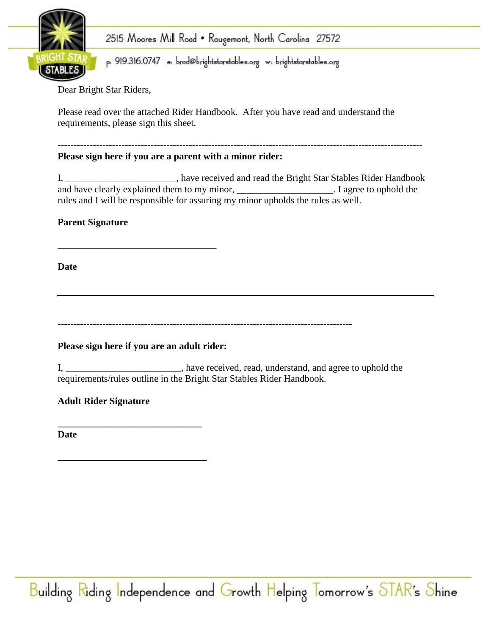

2515 Moores Mill Road • Rougemont, North Carolina 27572

p: 919.316.0747 e: brad@brightstarstables.org w: brightstarstables.org

Dear Bright Star Riders,

Please read over the attached Rider Handbook. After you have read and understand the requirements, please sign this sheet.

#### ------------------------------------------------------------------------------------------------------------------ **Please sign here if you are a parent with a minor rider:**

I, \_\_\_\_\_\_\_\_\_\_\_\_\_\_\_\_\_\_\_\_\_\_\_, have received and read the Bright Star Stables Rider Handbook and have clearly explained them to my minor, \_\_\_\_\_\_\_\_\_\_\_\_\_\_\_\_\_\_\_\_. I agree to uphold the rules and I will be responsible for assuring my minor upholds the rules as well.

## **Parent Signature**

**Date**

--------------------------------------------------------------------------------------------

**Please sign here if you are an adult rider:**

**\_\_\_\_\_\_\_\_\_\_\_\_\_\_\_\_\_\_\_\_\_\_\_\_\_\_\_\_\_\_\_**

**\_\_\_\_\_\_\_\_\_\_\_\_\_\_\_\_\_\_\_\_\_\_\_\_\_\_\_\_\_\_\_\_\_**

I, \_\_\_\_\_\_\_\_\_\_\_\_\_\_\_\_\_\_\_\_\_\_\_\_, have received, read, understand, and agree to uphold the requirements/rules outline in the Bright Star Stables Rider Handbook.

**Adult Rider Signature**

**\_\_\_\_\_\_\_\_\_\_\_\_\_\_\_\_\_\_\_\_\_\_\_\_\_\_\_\_\_\_ Date**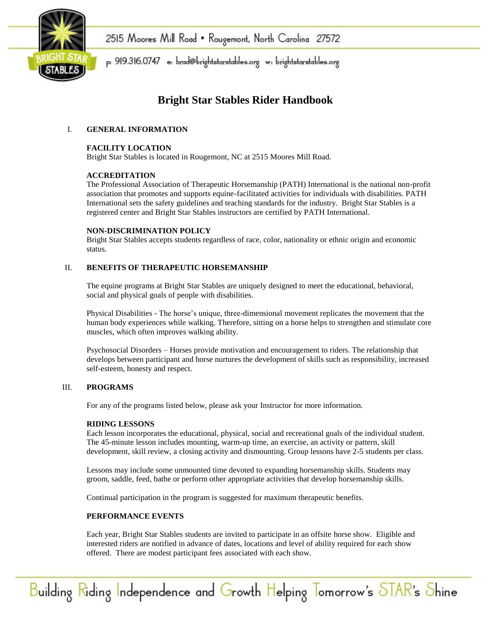

## **Bright Star Stables Rider Handbook**

#### I. **GENERAL INFORMATION**

#### **FACILITY LOCATION**

Bright Star Stables is located in Rougemont, NC at 2515 Moores Mill Road.

#### **ACCREDITATION**

The Professional Association of Therapeutic Horsemanship (PATH) International is the national non-profit association that promotes and supports equine-facilitated activities for individuals with disabilities. PATH International sets the safety guidelines and teaching standards for the industry. Bright Star Stables is a registered center and Bright Star Stables instructors are certified by PATH International.

#### **NON-DISCRIMINATION POLICY**

Bright Star Stables accepts students regardless of race, color, nationality or ethnic origin and economic status.

#### II. **BENEFITS OF THERAPEUTIC HORSEMANSHIP**

The equine programs at Bright Star Stables are uniquely designed to meet the educational, behavioral, social and physical goals of people with disabilities.

Physical Disabilities - The horse's unique, three-dimensional movement replicates the movement that the human body experiences while walking. Therefore, sitting on a horse helps to strengthen and stimulate core muscles, which often improves walking ability.

Psychosocial Disorders – Horses provide motivation and encouragement to riders. The relationship that develops between participant and horse nurtures the development of skills such as responsibility, increased self-esteem, honesty and respect.

#### III. **PROGRAMS**

For any of the programs listed below, please ask your Instructor for more information.

#### **RIDING LESSONS**

Each lesson incorporates the educational, physical, social and recreational goals of the individual student. The 45-minute lesson includes mounting, warm-up time, an exercise, an activity or pattern, skill development, skill review, a closing activity and dismounting. Group lessons have 2-5 students per class.

Lessons may include some unmounted time devoted to expanding horsemanship skills. Students may groom, saddle, feed, bathe or perform other appropriate activities that develop horsemanship skills.

Continual participation in the program is suggested for maximum therapeutic benefits.

#### **PERFORMANCE EVENTS**

Each year, Bright Star Stables students are invited to participate in an offsite horse show. Eligible and interested riders are notified in advance of dates, locations and level of ability required for each show offered. There are modest participant fees associated with each show.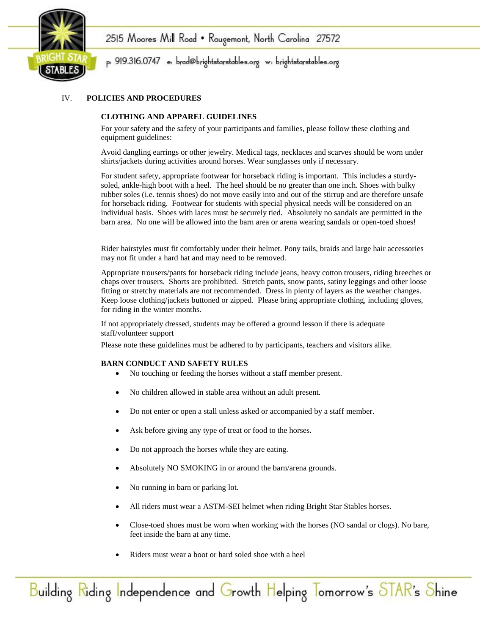



#### IV. **POLICIES AND PROCEDURES**

#### **CLOTHING AND APPAREL GUIDELINES**

For your safety and the safety of your participants and families, please follow these clothing and equipment guidelines:

Avoid dangling earrings or other jewelry. Medical tags, necklaces and scarves should be worn under shirts/jackets during activities around horses. Wear sunglasses only if necessary.

For student safety, appropriate footwear for horseback riding is important. This includes a sturdysoled, ankle-high boot with a heel. The heel should be no greater than one inch. Shoes with bulky rubber soles (i.e. tennis shoes) do not move easily into and out of the stirrup and are therefore unsafe for horseback riding. Footwear for students with special physical needs will be considered on an individual basis. Shoes with laces must be securely tied. Absolutely no sandals are permitted in the barn area. No one will be allowed into the barn area or arena wearing sandals or open-toed shoes!

Rider hairstyles must fit comfortably under their helmet. Pony tails, braids and large hair accessories may not fit under a hard hat and may need to be removed.

Appropriate trousers/pants for horseback riding include jeans, heavy cotton trousers, riding breeches or chaps over trousers. Shorts are prohibited. Stretch pants, snow pants, satiny leggings and other loose fitting or stretchy materials are not recommended. Dress in plenty of layers as the weather changes. Keep loose clothing/jackets buttoned or zipped. Please bring appropriate clothing, including gloves, for riding in the winter months.

If not appropriately dressed, students may be offered a ground lesson if there is adequate staff/volunteer support

Please note these guidelines must be adhered to by participants, teachers and visitors alike.

#### **BARN CONDUCT AND SAFETY RULES**

- No touching or feeding the horses without a staff member present.
- No children allowed in stable area without an adult present.
- Do not enter or open a stall unless asked or accompanied by a staff member.
- Ask before giving any type of treat or food to the horses.
- Do not approach the horses while they are eating.
- Absolutely NO SMOKING in or around the barn/arena grounds.
- No running in barn or parking lot.
- All riders must wear a ASTM-SEI helmet when riding Bright Star Stables horses.
- Close-toed shoes must be worn when working with the horses (NO sandal or clogs). No bare, feet inside the barn at any time.
- Riders must wear a boot or hard soled shoe with a heel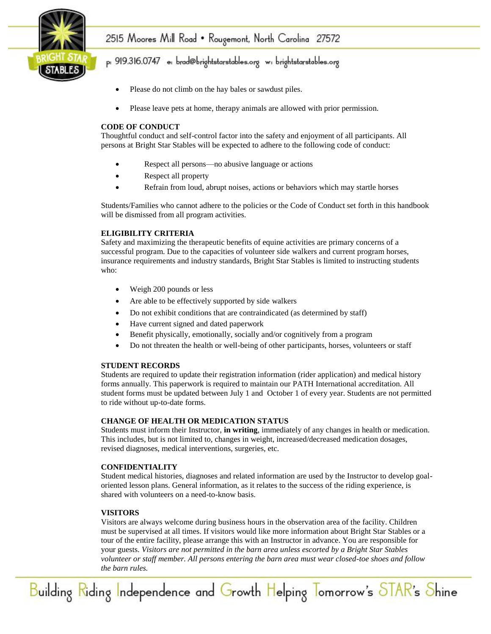

## 2515 Moores Mill Road • Rougemont, North Carolina 27572

## p: 919.316.0747 e: brad@brightstarstables.org w: brightstarstables.org

- Please do not climb on the hay bales or sawdust piles.
- Please leave pets at home, therapy animals are allowed with prior permission.

#### **CODE OF CONDUCT**

Thoughtful conduct and self-control factor into the safety and enjoyment of all participants. All persons at Bright Star Stables will be expected to adhere to the following code of conduct:

- Respect all persons—no abusive language or actions
- Respect all property
- Refrain from loud, abrupt noises, actions or behaviors which may startle horses

Students/Families who cannot adhere to the policies or the Code of Conduct set forth in this handbook will be dismissed from all program activities.

#### **ELIGIBILITY CRITERIA**

Safety and maximizing the therapeutic benefits of equine activities are primary concerns of a successful program. Due to the capacities of volunteer side walkers and current program horses, insurance requirements and industry standards, Bright Star Stables is limited to instructing students who:

- Weigh 200 pounds or less
- Are able to be effectively supported by side walkers
- Do not exhibit conditions that are contraindicated (as determined by staff)
- Have current signed and dated paperwork
- Benefit physically, emotionally, socially and/or cognitively from a program
- Do not threaten the health or well-being of other participants, horses, volunteers or staff

#### **STUDENT RECORDS**

Students are required to update their registration information (rider application) and medical history forms annually. This paperwork is required to maintain our PATH International accreditation. All student forms must be updated between July 1 and October 1 of every year. Students are not permitted to ride without up-to-date forms.

#### **CHANGE OF HEALTH OR MEDICATION STATUS**

Students must inform their Instructor, **in writing**, immediately of any changes in health or medication. This includes, but is not limited to, changes in weight, increased/decreased medication dosages, revised diagnoses, medical interventions, surgeries, etc.

#### **CONFIDENTIALITY**

Student medical histories, diagnoses and related information are used by the Instructor to develop goaloriented lesson plans. General information, as it relates to the success of the riding experience, is shared with volunteers on a need-to-know basis.

#### **VISITORS**

Visitors are always welcome during business hours in the observation area of the facility. Children must be supervised at all times. If visitors would like more information about Bright Star Stables or a tour of the entire facility, please arrange this with an Instructor in advance. You are responsible for your guests. *Visitors are not permitted in the barn area unless escorted by a Bright Star Stables volunteer or staff member. All persons entering the barn area must wear closed-toe shoes and follow the barn rules.* 

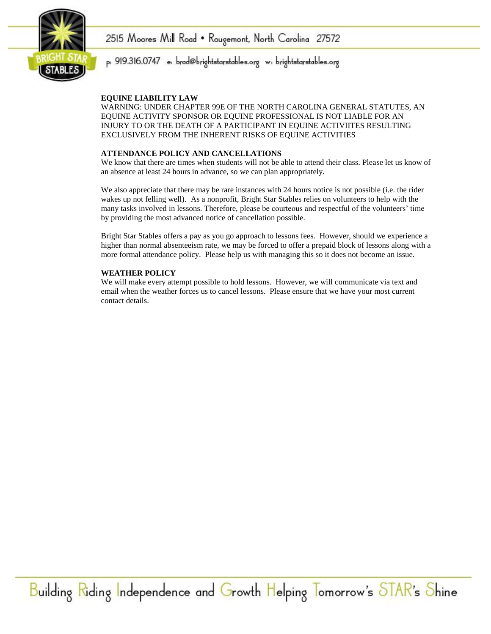



#### **EQUINE LIABILITY LAW**

WARNING: UNDER CHAPTER 99E OF THE NORTH CAROLINA GENERAL STATUTES, AN EQUINE ACTIVITY SPONSOR OR EQUINE PROFESSIONAL IS NOT LIABLE FOR AN INJURY TO OR THE DEATH OF A PARTICIPANT IN EQUINE ACTIVIITES RESULTING EXCLUSIVELY FROM THE INHERENT RISKS OF EQUINE ACTIVITIES

#### **ATTENDANCE POLICY AND CANCELLATIONS**

We know that there are times when students will not be able to attend their class. Please let us know of an absence at least 24 hours in advance, so we can plan appropriately.

We also appreciate that there may be rare instances with 24 hours notice is not possible (i.e. the rider wakes up not felling well). As a nonprofit, Bright Star Stables relies on volunteers to help with the many tasks involved in lessons. Therefore, please be courteous and respectful of the volunteers' time by providing the most advanced notice of cancellation possible.

Bright Star Stables offers a pay as you go approach to lessons fees. However, should we experience a higher than normal absenteeism rate, we may be forced to offer a prepaid block of lessons along with a more formal attendance policy. Please help us with managing this so it does not become an issue.

#### **WEATHER POLICY**

We will make every attempt possible to hold lessons. However, we will communicate via text and email when the weather forces us to cancel lessons. Please ensure that we have your most current contact details.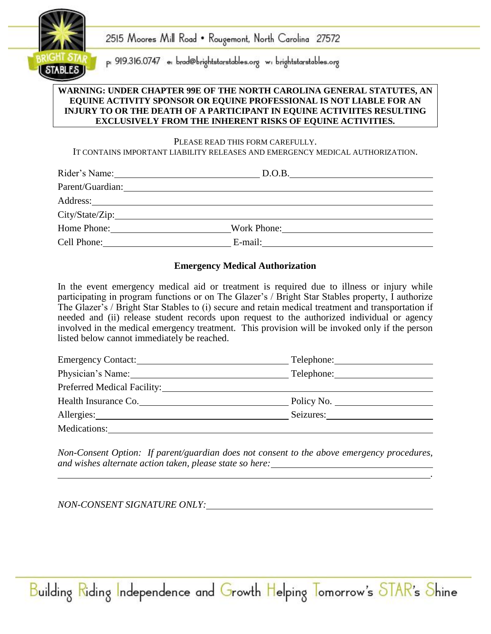

#### **WARNING: UNDER CHAPTER 99E OF THE NORTH CAROLINA GENERAL STATUTES, AN EQUINE ACTIVITY SPONSOR OR EQUINE PROFESSIONAL IS NOT LIABLE FOR AN INJURY TO OR THE DEATH OF A PARTICIPANT IN EQUINE ACTIVIITES RESULTING EXCLUSIVELY FROM THE INHERENT RISKS OF EQUINE ACTIVITIES.**

#### PLEASE READ THIS FORM CAREFULLY.

IT CONTAINS IMPORTANT LIABILITY RELEASES AND EMERGENCY MEDICAL AUTHORIZATION.

| Rider's Name:    | D.O.B.      | <u> 1980 - Jan Stein Bernstein, mars and der Stein Bernstein und der Stein Bernstein und der Stein Bernstein und</u> |
|------------------|-------------|----------------------------------------------------------------------------------------------------------------------|
| Parent/Guardian: |             |                                                                                                                      |
|                  |             |                                                                                                                      |
| City/State/Zip:  |             |                                                                                                                      |
| Home Phone:      | Work Phone: |                                                                                                                      |
| Cell Phone:      | E-mail:     |                                                                                                                      |

### **Emergency Medical Authorization**

In the event emergency medical aid or treatment is required due to illness or injury while participating in program functions or on The Glazer's / Bright Star Stables property, I authorize The Glazer's / Bright Star Stables to (i) secure and retain medical treatment and transportation if needed and (ii) release student records upon request to the authorized individual or agency involved in the medical emergency treatment. This provision will be invoked only if the person listed below cannot immediately be reached.

| Emergency Contact:          | Telephone: |
|-----------------------------|------------|
| Physician's Name: 1988      | Telephone: |
| Preferred Medical Facility: |            |
| Health Insurance Co.        | Policy No. |
|                             | Seizures:  |
| Medications:                |            |

*Non-Consent Option: If parent/guardian does not consent to the above emergency procedures, and wishes alternate action taken, please state so here: .*

Building Riding Independence and Growth Helping Tomorrow's STAR's Shine

*NON-CONSENT SIGNATURE ONLY:*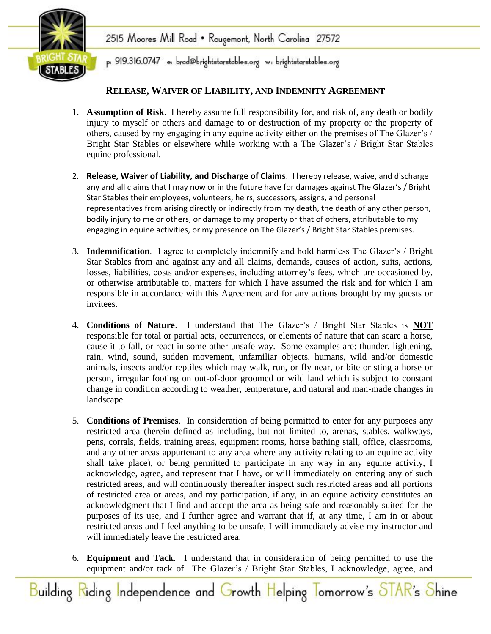### **RELEASE, WAIVER OF LIABILITY, AND INDEMNITY AGREEMENT**

- 1. **Assumption of Risk**. I hereby assume full responsibility for, and risk of, any death or bodily injury to myself or others and damage to or destruction of my property or the property of others, caused by my engaging in any equine activity either on the premises of The Glazer's / Bright Star Stables or elsewhere while working with a The Glazer's / Bright Star Stables equine professional.
- 2. **Release, Waiver of Liability, and Discharge of Claims**. I hereby release, waive, and discharge any and all claims that I may now or in the future have for damages against The Glazer's / Bright Star Stables their employees, volunteers, heirs, successors, assigns, and personal representatives from arising directly or indirectly from my death, the death of any other person, bodily injury to me or others, or damage to my property or that of others, attributable to my engaging in equine activities, or my presence on The Glazer's / Bright Star Stables premises.
- 3. **Indemnification**. I agree to completely indemnify and hold harmless The Glazer's / Bright Star Stables from and against any and all claims, demands, causes of action, suits, actions, losses, liabilities, costs and/or expenses, including attorney's fees, which are occasioned by, or otherwise attributable to, matters for which I have assumed the risk and for which I am responsible in accordance with this Agreement and for any actions brought by my guests or invitees.
- 4. **Conditions of Nature**. I understand that The Glazer's / Bright Star Stables is **NOT** responsible for total or partial acts, occurrences, or elements of nature that can scare a horse, cause it to fall, or react in some other unsafe way. Some examples are: thunder, lightening, rain, wind, sound, sudden movement, unfamiliar objects, humans, wild and/or domestic animals, insects and/or reptiles which may walk, run, or fly near, or bite or sting a horse or person, irregular footing on out-of-door groomed or wild land which is subject to constant change in condition according to weather, temperature, and natural and man-made changes in landscape.
- 5. **Conditions of Premises**. In consideration of being permitted to enter for any purposes any restricted area (herein defined as including, but not limited to, arenas, stables, walkways, pens, corrals, fields, training areas, equipment rooms, horse bathing stall, office, classrooms, and any other areas appurtenant to any area where any activity relating to an equine activity shall take place), or being permitted to participate in any way in any equine activity, I acknowledge, agree, and represent that I have, or will immediately on entering any of such restricted areas, and will continuously thereafter inspect such restricted areas and all portions of restricted area or areas, and my participation, if any, in an equine activity constitutes an acknowledgment that I find and accept the area as being safe and reasonably suited for the purposes of its use, and I further agree and warrant that if, at any time, I am in or about restricted areas and I feel anything to be unsafe, I will immediately advise my instructor and will immediately leave the restricted area.
- 6. **Equipment and Tack**. I understand that in consideration of being permitted to use the equipment and/or tack of The Glazer's / Bright Star Stables, I acknowledge, agree, and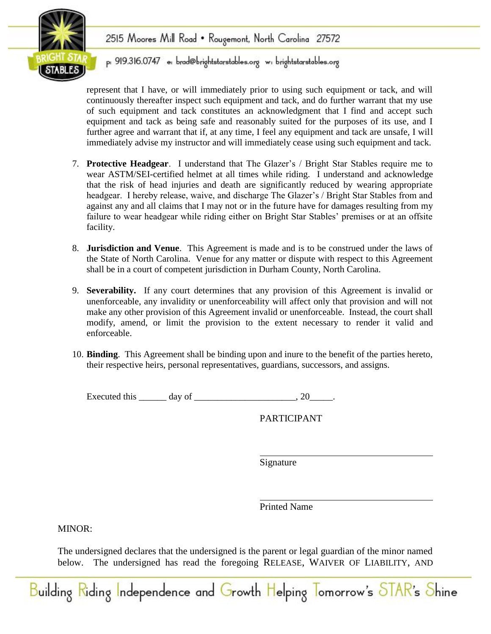

# 2515 Moores Mill Road • Rougemont, North Carolina 27572

p: 919.316.0747 e: brad@brightstarstables.org w: brightstarstables.org

represent that I have, or will immediately prior to using such equipment or tack, and will continuously thereafter inspect such equipment and tack, and do further warrant that my use of such equipment and tack constitutes an acknowledgment that I find and accept such equipment and tack as being safe and reasonably suited for the purposes of its use, and I further agree and warrant that if, at any time, I feel any equipment and tack are unsafe, I will immediately advise my instructor and will immediately cease using such equipment and tack.

- 7. **Protective Headgear**. I understand that The Glazer's / Bright Star Stables require me to wear ASTM/SEI-certified helmet at all times while riding. I understand and acknowledge that the risk of head injuries and death are significantly reduced by wearing appropriate headgear. I hereby release, waive, and discharge The Glazer's / Bright Star Stables from and against any and all claims that I may not or in the future have for damages resulting from my failure to wear headgear while riding either on Bright Star Stables' premises or at an offsite facility.
- 8. **Jurisdiction and Venue**. This Agreement is made and is to be construed under the laws of the State of North Carolina. Venue for any matter or dispute with respect to this Agreement shall be in a court of competent jurisdiction in Durham County, North Carolina.
- 9. **Severability.** If any court determines that any provision of this Agreement is invalid or unenforceable, any invalidity or unenforceability will affect only that provision and will not make any other provision of this Agreement invalid or unenforceable. Instead, the court shall modify, amend, or limit the provision to the extent necessary to render it valid and enforceable.
- 10. **Binding**. This Agreement shall be binding upon and inure to the benefit of the parties hereto, their respective heirs, personal representatives, guardians, successors, and assigns.

Executed this  $\frac{1}{2}$  day of  $\frac{1}{2}$  .

PARTICIPANT

Signature

Printed Name

MINOR:

The undersigned declares that the undersigned is the parent or legal guardian of the minor named below. The undersigned has read the foregoing RELEASE, WAIVER OF LIABILITY, AND